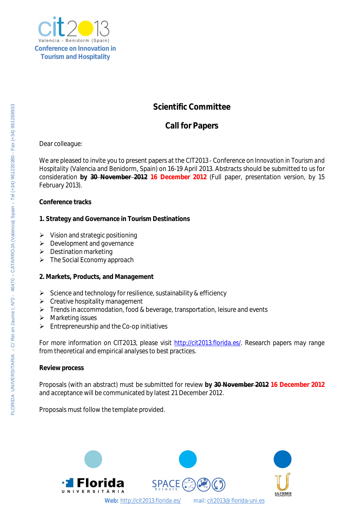

## **Scientific Committee**

# **Call for Papers**

Dear colleague:

We are pleased to invite you to present papers at the CIT2013 - Conference on *Innovation in Tourism and Hospitality* (Valencia and Benidorm, Spain) on 16-19 April 2013. Abstracts should be submitted to us for consideration **by 30 November 2012 16 December 2012** (Full paper, presentation version, by 15 February 2013).

### **Conference tracks**

### **1. Strategy and Governance in Tourism Destinations**

- $\triangleright$  Vision and strategic positioning
- $\triangleright$  Development and governance
- $\triangleright$  Destination marketing
- $\triangleright$  The Social Economy approach

### **2. Markets, Products, and Management**

- $\triangleright$  Science and technology for resilience, sustainability & efficiency
- $\triangleright$  Creative hospitality management
- Frends in accommodation, food & beverage, transportation, leisure and events
- $\triangleright$  Marketing issues
- $\triangleright$  Entrepreneurship and the Co-op initiatives

For more information on CIT2013, please visit http://cit2013.florida.es/. Research papers may range from theoretical and empirical analyses to best practices.

### **Review process**

Proposals (with an abstract) must be submitted for review **by 30 November 2012 16 December 2012** and acceptance will be communicated by latest 21 December 2012.

Proposals must follow the template provided.